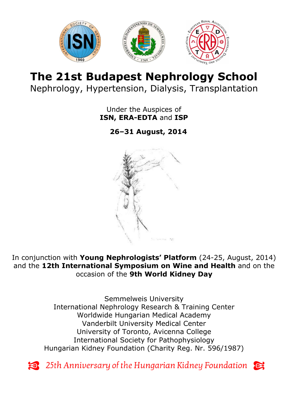

# **The 21st Budapest Nephrology School** Nephrology, Hypertension, Dialysis, Transplantation

Under the Auspices of **ISN, ERA-EDTA** and **ISP**

**26–31 August, 2014**



In conjunction with **Young Nephrologists' Platform** (24-25, August, 2014) and the **12th International Symposium on Wine and Health** and on the occasion of the **9th World Kidney Day**

> Semmelweis University International Nephrology Research & Training Center Worldwide Hungarian Medical Academy Vanderbilt University Medical Center University of Toronto, Avicenna College International Society for Pathophysiology Hungarian Kidney Foundation (Charity Reg. Nr. 596/1987)

Exace 25th Anniversary of the Hungarian Kidney Foundation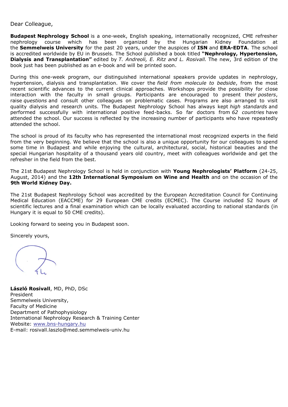#### Dear Colleague,

**Budapest Nephrology School** is a one-week, English speaking, internationally recognized, CME refresher nephrology course which has been organized by the Hungarian Kidney Foundation at the **Semmelweis University** for the past 20 years, under the auspices of **ISN** and **ERA-EDTA**. The school is accredited worldwide by EU in Brussels. The School published a book titled **"Nephrology, Hypertension, Dialysis and Transplantation"** edited by *T. Andreoli, E. Ritz and L. Rosivall.* The new, 3rd edition of the book just has been published as an e-book and will be printed soon.

During this one-week program, our distinguished international speakers provide updates in nephrology, hypertension, dialysis and transplantation. We cover the *field from molecule to bedside*, from the most recent scientific advances to the current clinical approaches. Workshops provide the possibility for close interaction with the faculty in small groups. Participants are encouraged to present their *posters*, raise *questions* and consult other colleagues on problematic cases. Programs are also arranged to visit quality dialysis and research units. The Budapest Nephrology School has always kept *high standards* and performed successfully with international positive feed-backs. So far doctors from *62 countries* have attended the school. Our success is reflected by the increasing number of participants who have repeatedly attended the school.

The school is proud of its faculty who has represented the international most recognized experts in the field from the very beginning. We believe that the school is also a unique opportunity for our colleagues to spend some time in Budapest and while enjoying the cultural, architectural, social, historical beauties and the special Hungarian hospitality of a thousand years old country, meet with colleagues worldwide and get the refresher in the field from the best.

The 21st Budapest Nephrology School is held in conjunction with **Young Nephrologists' Platform** (24-25, August, 2014) and the **12th International Symposium on Wine and Health** and on the occasion of the **9th World Kidney Day.**

The 21st Budapest Nephrology School was accredited by the European Accreditation Council for Continuing Medical Education (EACCME) for 29 European CME credits (ECMEC). The Course included 52 hours of scientific lectures and a final examination which can be locally evaluated according to national standards (in Hungary it is equal to 50 CME credits).

Looking forward to seeing you in Budapest soon.

Sincerely yours,

**László Rosivall**, MD, PhD, DSc President Semmelweis University, Faculty of Medicine Department of Pathophysiology International Nephrology Research & Training Center Website: [www.bns-hungary.hu](http://www.bns-hungary.hu/) E-mail: rosivall.laszlo@med.semmelweis-univ.hu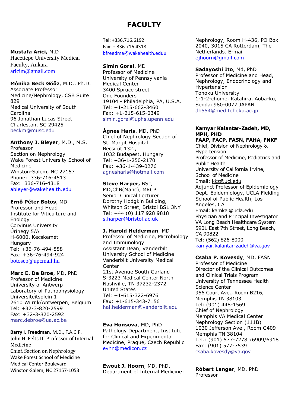# **FACULTY**

**Mustafa Arici,** M.D Hacettepe University Medical Faculty, Ankara [aricim@gmail.com](mailto:aricim@gmail.com)

**Mónika Beck Göőz**, M.D., Ph.D. Associate Professor Medicine/Nephrology, CSB Suite 829 Medical University of South Carolina 96 Jonathan Lucas Street Charleston, SC 29425 [beckm@musc.edu](mailto:beckm@musc.edu)

**Anthony J. Bleyer**, M.D., M.S. Professor Section on Nephrology Wake Forest University School of Medicine Winston-Salem, NC 27157 Phone: 336-716-4513 Fax: 336-716-4318 [ableyer@wakehealth.edu](mailto:ableyer@wakehealth.edu)

**Ernő Péter Botos**, MD Professor and Head Institute for Viticulture and Enology Corvinus University Úrihegy 5/A H-6000, Kecskemét **Hungary** Tel: +36-76-494-888 Fax: +36-76-494-924 [botosep@upcmail.hu](mailto:botosep@upcmail.hu)

**Marc E. De Broe**, MD, PhD Professor of Medicine University of Antwerp Laboratory of Pathophysiology Universiteitsplein 1 2610 Wilrijk/Antwerpen, Belgium Tel: +32-3-820-2599 Fax: +32-3-820-2592 [marc.debroe@ua.ac.be](mailto:marc.debroe@ua.ac.be)

**Barry I. Freedman**, M.D., F.A.C.P. John H. Felts III Professor of Internal Medicine Chief, Section on Nephrology Wake Forest School of Medicine Medical Center Boulevard Winston-Salem, NC 27157-1053

Tel: +336.716.6192 Fax: + 336.716.4318 [bfreedma@wakehealth.eduu](mailto:bfreedma@wakehealth.eduu)

**Simin Goral**, MD Professor of Medicine University of Pennsylvania Medical Center 3400 Spruce street One Founders 19104 - Philadelphia, PA, U.S.A. Tel: +1-215-662-3460 Fax: +1-215-615-0349 simin.goral@uphs.upenn.edu

**Ágnes Haris**, MD, PhD Chief of Nephrology Section of St. Margit Hospital Bécsi út 132., 1032 Budapest, Hungary Tel: +36-1-250-2170 Fax: +36-1-439-0276 agnesharis@hotmail.com

**Steve Harper,** BSc, MD,ChB(Manc), MRCP Senior Clinical Lecturer Dorothy Hodgkin Building, Whitson Street, Bristol BS1 3NY Tel: +44 (0) 117 928 9818 [s.harper@bristol.ac.uk](mailto:s.harper@bristol.ac.uk)

**J. Harold Helderman**, MD Professor of Medicine, Microbiology and Immunology Assistant Dean, Vanderbilt University School of Medicine Vanderbilt University Medical Center 21st Avenue South Garland S-3223 Medical Center North Nashville, TN 37232-2372 United States Tel: +1-615-322-6976 Fax: +1-615-343-7156 hal.helderman@vanderbilt.edu

**Eva Honsova**, MD, PhD Pathology Department, Institute for Clinical and Experimental Medicine, Prague, Czech Republic [evhn@medicon.cz](mailto:evhn@medicon.cz)

**Ewout J. Hoorn**, MD, PhD, Department of Internal Medicine: Nephrology, Room H-436, PO Box 2040, 3015 CA Rotterdam, The Netherlands. E-mail [ejhoorn@gmail.com](mailto:ejhoorn@gmail.com)

**Sadayoshi Ito**, Md, PhD Professor of Medicine and Head, Nephrology, Endocrinology and Hypertension Tohoku University 1-1-2-chome, Katahira, [Aoba-ku,](http://en.wikipedia.org/wiki/Aoba-ku,_Sendai) Sendai 980-0077 JAPAN [db554@med.tohoku.ac.jp](mailto:db554@med.tohoku.ac.jp)

### **Kamyar Kalantar-Zadeh, MD, MPH, PHD**

**FAAP, FACP, FASN, FAHA, FNKF** Chief, Division of Nephrology & Hypertension Professor of Medicine, Pediatrics and Public Health University of California Irvine, School of Medicine Email: [kkz@uci.edu](mailto:kkz@uci.edu) Adjunct Professor of Epidemiology Dept. Epidemiology, UCLA Fielding School of Public Health, Los Angeles, CA Email: [kamkal@ucla.edu](mailto:kamkal@ucla.edu) Physician and Principal Investigator VA Long Beach Healthcare System 5901 East 7th Street, Long Beach, CA 90822 Tel: (562) 826-8000 [kamyar.kalantar-zadeh@va.gov](mailto:kamyar.kalantar-zadeh@va.gov)

**Csaba P. Kovesdy**, MD, FASN Professor of Medicine Director of the Clinical Outcomes and Clinical Trials Program University of Tennessee Health Science Center 956 Court Ave., Room B216, Memphis TN 38103 Tel: (901) 448-1569 Chief of Nephrology Memphis VA Medical Center Nephrology Section (111B) 1030 Jefferson Ave., Room G409 Memphis TN 38104 Tel.: (901) 577-7278 x6909/6918 Fax: (901) 577-7539 [csaba.kovesdy@va.gov](mailto:csaba.kovesdy@va.gov)

**Róbert Langer**, MD, PhD Professor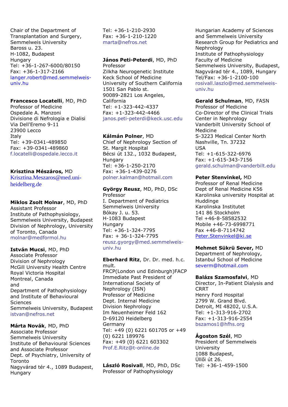Chair of the Department of Transplantation and Surgery, Semmelweis University Baross u. 23. H-1082, Budapest Hungary Tel: +36-1-267-6000/80150 Fax: +36-1-317-2166 [langer.robert@med.semmelweis](mailto:langer.robert@med.semmelweis-univ.hu)[univ.hu](mailto:langer.robert@med.semmelweis-univ.hu)

#### **Francesco Locatelli**, MD, PhD

Professor of Medicine Ospedale A. Manzoni Divisione di Nefrologia e Dialisi Via Dell'Eremo 9-11 23900 Lecco Italy Tel: +39-0341-489850 Fax: +39-0341-489860 [f.locatelli@ospedale.lecco.it](mailto:f.locatelli@ospedale.lecco.it)

### **Krisztina Mészáros,** MD

[Krisztina.Meszaros@med.uni](mailto:Krisztina.Meszaros@med.uni-heidelberg.de)[heidelberg.de](mailto:Krisztina.Meszaros@med.uni-heidelberg.de)

# **Miklos Zsolt Molnar**, MD, PhD

Assistant Professor Institute of Pathophysiology, Semmelweis University, Budapest Division of Nephrology, University of Toronto, Canada [molnar@medformol.hu](mailto:molnar@medformol.hu)

### **István Mucsi**, MD, PhD

Associate Professor Division of Nephrology McGill University Health Centre Royal Victoria Hospital Montreal, Canada and Department of Pathophysiology and Institute of Behavioural Sciences Semmelweis University, Budapest istvan@nefros.net

### **Márta Novák**, MD, PhD

Associate Professor Semmelweis University Institute of Behavioural Sciences and Associate Professor Dept. of Psychiatry, University of Toronto Nagyvárad tér 4., 1089 Budapest, Hungary

Tel: +36-1-210-2930 Fax: +36-1-210-1220 marta@nefros.net

## **János Peti-Peterdi**, MD, PhD Professor Zilkha Neurogenetic Institute

Keck School of Medicine University of Southern California 1501 San Pablo st. 90089-2821 Los Angeles, California Tel: +1-323-442-4337 Fax: +1-323-442-4466 janos.peti-peterdi@keck.usc.edu

# **Kálmán Polner**, MD

Chief of Nephrology Section of St. Margit Hospital Bécsi út 132., 1032 Budapest, Hungary Tel: +36-1-250-2170 Fax: +36-1-439-0276 [polner.kalman@hotmail.com](mailto:polner.kalman@hotmail.com)

**György Reusz**, MD, PhD, DSc Professor I. Department of Pediatrics Semmelweis University Bókay J. u. 53. H-1083 Budapest Hungary Tel: +36-1-324-7795 Fax: + 36-1-324-7795 [reusz.gyorgy@med.semmelweis](mailto:reusz.gyorgy@med.semmelweis-univ.hu)[univ.hu](mailto:reusz.gyorgy@med.semmelweis-univ.hu)

#### **Eberhard Ritz**, Dr. Dr. med. h.c. mult. FRCP(London und Edinburgh)FACP Immediate Past President of International Society of Nephrology (ISN) Professor of Medicine Dept. Internal Medicine Division Nephrology Im Neuenheimer Feld 162 D-69120 Heidelberg Germany Tel: +49 (0) 6221 601705 or +49 (0) 6221 189976 Fax: +49 (0) 6221 603302 Prof.E.Ritz@t-online.de

**László Rosivall**, MD, PhD, DSc Professor of Pathophysiology

Hungarian Academy of Sciences and Semmelweis University Research Group for Pediatrics and Nephrology Institute of Pathophysiology Faculty of Medicine Semmelweis University, Budapest, Nagyvárad tér 4., 1089, Hungary Tel/Fax: +36-1-2100-100 [rosivall.laszlo@med.semmelweis](mailto:rosivall.laszlo@med.semmelweis-univ.hu)[univ.hu](mailto:rosivall.laszlo@med.semmelweis-univ.hu)

# **Gerald Schulman**, MD, FASN

Professor of Medicine Co-Director of the Clinical Trials Center in Nephrology Vanderbilt University School of Medicine S-3223 Medical Center North Nashville, Tn. 37232 USA Tel: +1-615-322-6976 Fax: +1-615-343-7156 [gerald.schulman@vanderbilt.edu](mailto:gerald.schulman@vanderbilt.edu)

### **Peter Stenvinkel,** MD

Professor of Renal Medicine Dept of Renal Medicine K56 Karolinska university Hospital at Huddinge Karolinska Institutet 141 86 Stockholm Tel +46-8-58582532 Mobile +46-73-6998771 Fax +46-8-7114742 [Peter.Stenvinkel@ki.se](mailto:Peter.Stenvinkel@ki.se) 

**Mehmet Sükrü Sever,** MD Department of Nephrology, Istanbul School of Medicine severm@hotmail.com

#### **Balázs Szamosfalvi**, MD

Director, In-Patient Dialysis and CRRT Henry Ford Hospital 2799 W. Grand Blvd. Detroit, MI 48202, U.S.A. Tel: +1-313-916-2702 Fax: +1-313-916-2554 bszamos1@hfhs.org

### **Ágoston Szél**, MD

President of Semmelweis University 1088 Budapest, Üllői út 26. Tel: +36-1-459-1500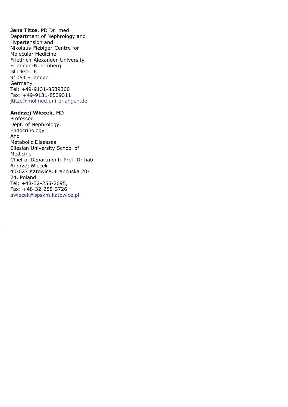**Jens Titze**, PD Dr. med. Department of Nephrology and Hypertension and Nikolaus-Fiebiger-Centre for Molecular Medicine Friedrich-Alexander-University Erlangen-Nuremberg Glückstr. 6 91054 Erlangen Germany Tel: +49-9131-8539300 Fax: +49-9131-8539311 jtitze@molmed.uni-erlangen.de

#### **Andrzej Wiecek**, MD

 $\overline{\phantom{a}}$ 

Professor Dept. of Nephrology, Endocrinology And Metabolic Diseases Silesian University School of Medicine Chief of Department: Prof. Dr hab Andrzej Wiecek 40-027 Katowice, Francuska 20- 24, Poland Tel: +48-32-255-2695, Fax: +48-32-255-3726 [awiecek@spskm.katowice.pl](mailto:awiecek@spskm.katowice.pl)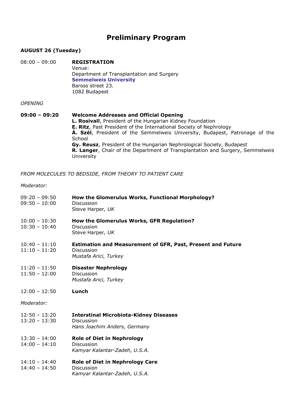# **Preliminary Program**

# **AUGUST 26 (Tuesday)**

08:00 – 09:00 **REGISTRATION** Venue: Department of Transplantation and Surgery **[Semmelweis University](http://english.sote.hu/)** Baross street 23. 1082 Budapest

#### *OPENING*

#### **09:00 – 09:20 Welcome Addresses and Official Opening L. Rosivall**, President of the Hungarian Kidney Foundation **E. Ritz**, Past President of the International Society of Nephrology **Á. Szél**, President of the Semmelweis University, Budapest, Patronage of the **School Gy. Reusz**, President of the Hungarian Nephrological Society, Budapest **R. Langer**, Chair of the Department of Transplantation and Surgery, Semmelweis University

*FROM MOLECULES TO BEDSIDE, FROM THEORY TO PATIENT CARE*

#### *Moderator:*

| $09:20 - 09:50$<br>$09:50 - 10:00$ | How the Glomerulus Works, Functional Morphology?<br><b>Discussion</b><br>Steve Harper, UK                 |
|------------------------------------|-----------------------------------------------------------------------------------------------------------|
| $10:00 - 10:30$<br>$10:30 - 10:40$ | How the Glomerulus Works, GFR Regulation?<br>Discussion<br>Steve Harper, UK                               |
| $10:40 - 11:10$<br>$11:10 - 11:20$ | <b>Estimation and Measurement of GFR, Past, Present and Future</b><br>Discussion<br>Mustafa Arici, Turkey |
| $11:20 - 11:50$<br>$11:50 - 12:00$ | <b>Disaster Nephrology</b><br><b>Discussion</b><br>Mustafa Arici, Turkey                                  |
| $12:00 - 12:50$                    | Lunch                                                                                                     |
| Moderator:                         |                                                                                                           |
| $12:50 - 13:20$<br>$13:20 - 13:30$ | <b>Interstinal Microbiota-Kidney Diseases</b><br><b>Discussion</b><br>Hans Joachim Anders, Germany        |
| $13:30 - 14:00$<br>$14:00 - 14:10$ | <b>Role of Diet in Nephrology</b><br><b>Discussion</b><br>Kamyar Kalantar-Zadeh, U.S.A.                   |
| $14:10 - 14:40$<br>$14:40 - 14:50$ | <b>Role of Diet in Nephrology Care</b><br>Discussion<br>Kamyar Kalantar-Zadeh, U.S.A.                     |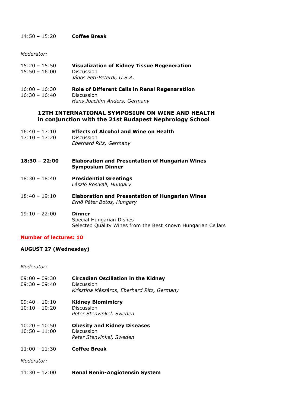#### 14:50 – 15:20 **Coffee Break**

*Moderator:*

| 15:20 - 15:50   | <b>Visualization of Kidney Tissue Regeneration</b> |
|-----------------|----------------------------------------------------|
| $15:50 - 16:00$ | <b>Discussion</b>                                  |
|                 | János Peti-Peterdi, U.S.A.                         |

#### 16:00 – 16:30 **Role of Different Cells in Renal Regenaratiion** 16:30 – 16:40 Discussion *Hans Joachim Anders, Germany*

#### **12TH INTERNATIONAL SYMPOSIUM ON WINE AND HEALTH in conjunction with the 21st Budapest Nephrology School**

- 16:40 17:10 **Effects of Alcohol and Wine on Health** 17:10 – 17:20 Discussion *Eberhard Ritz, Germany*
- **18:30 – 22:00 Elaboration and Presentation of Hungarian Wines Symposium Dinner**
- 18:30 18:40 **Presidential Greetings** *László Rosivall, Hungary*
- 18:40 19:10 **Elaboration and Presentation of Hungarian Wines** *Ernő Péter Botos, Hungary*

#### 19:10 – 22:00 **Dinner** Special Hungarian Dishes Selected Quality Wines from the Best Known Hungarian Cellars

#### **Number of lectures: 10**

### **AUGUST 27 (Wednesday)**

#### *Moderator:*

| 09:00 - 09:30<br>09:30 - 09:40   | <b>Circadian Oscillation in the Kidney</b><br><b>Discussion</b><br>Krisztina Mészáros, Eberhard Ritz, Germany |
|----------------------------------|---------------------------------------------------------------------------------------------------------------|
| 09:40 - 10:10<br>$10:10 - 10:20$ | <b>Kidney Biomimicry</b><br>Discussion<br>Peter Stenvinkel, Sweden                                            |

- 10:20 10:50 **Obesity and Kidney Diseases** 10:50 – 11:00 Discussion *Peter Stenvinkel, Sweden*
- 11:00 11:30 **Coffee Break**
- *Moderator:*
- 11:30 12:00 **Renal Renin-Angiotensin System**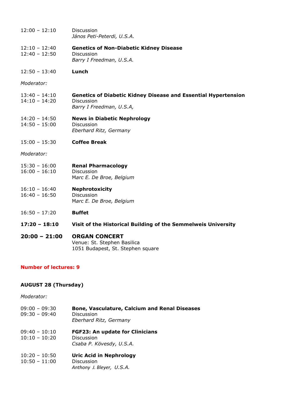| $20:00 - 21:00$                    | <b>ORGAN CONCERT</b><br>Venue: St. Stephen Basilica                                                             |
|------------------------------------|-----------------------------------------------------------------------------------------------------------------|
| $17:20 - 18:10$                    | Visit of the Historical Building of the Semmelweis University                                                   |
| $16:50 - 17:20$                    | <b>Buffet</b>                                                                                                   |
| $16:10 - 16:40$<br>$16:40 - 16:50$ | <b>Nephrotoxicity</b><br>Discussion<br>Marc E. De Broe, Belgium                                                 |
| $15:30 - 16:00$<br>$16:00 - 16:10$ | <b>Renal Pharmacology</b><br><b>Discussion</b><br>Marc E. De Broe, Belgium                                      |
| Moderator:                         |                                                                                                                 |
| $15:00 - 15:30$                    | <b>Coffee Break</b>                                                                                             |
| $14:20 - 14:50$<br>$14:50 - 15:00$ | <b>News in Diabetic Nephrology</b><br><b>Discussion</b><br>Eberhard Ritz, Germany                               |
| $13:40 - 14:10$<br>$14:10 - 14:20$ | <b>Genetics of Diabetic Kidney Disease and Essential Hypertension</b><br>Discussion<br>Barry I Freedman, U.S.A, |
| Moderator:                         |                                                                                                                 |
| $12:50 - 13:40$                    | Lunch                                                                                                           |
| $12:10 - 12:40$<br>$12:40 - 12:50$ | <b>Genetics of Non-Diabetic Kidney Disease</b><br>Discussion<br>Barry I Freedman, U.S.A.                        |
| $12:00 - 12:10$                    | <b>Discussion</b><br>János Peti-Peterdi, U.S.A.                                                                 |

### **Number of lectures: 9**

# **AUGUST 28 (Thursday)**

# *Moderator:*

| $09:00 - 09:30$<br>$09:30 - 09:40$ | <b>Bone, Vasculature, Calcium and Renal Diseases</b><br><b>Discussion</b><br>Eberhard Ritz, Germany |
|------------------------------------|-----------------------------------------------------------------------------------------------------|
| $09:40 - 10:10$<br>$10:10 - 10:20$ | <b>FGF23: An update for Clinicians</b><br>Discussion<br>Csaba P. Kövesdy, U.S.A.                    |
| $10:20 - 10:50$<br>$10:50 - 11:00$ | <b>Uric Acid in Nephrology</b><br><b>Discussion</b><br>Anthony J. Bleyer, U.S.A.                    |

1051 Budapest, St. Stephen square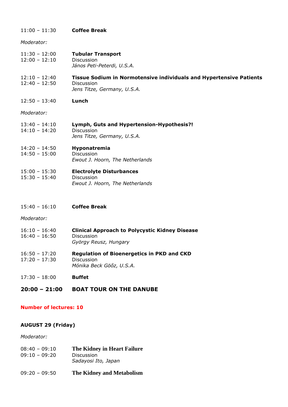| $11:00 - 11:30$                    | <b>Coffee Break</b>                                                                                                     |
|------------------------------------|-------------------------------------------------------------------------------------------------------------------------|
| Moderator:                         |                                                                                                                         |
| $11:30 - 12:00$<br>$12:00 - 12:10$ | <b>Tubular Transport</b><br>Discussion<br>János Peti-Peterdi, U.S.A.                                                    |
| $12:10 - 12:40$<br>$12:40 - 12:50$ | Tissue Sodium in Normotensive individuals and Hypertensive Patients<br><b>Discussion</b><br>Jens Titze, Germany, U.S.A. |
| $12:50 - 13:40$                    | Lunch                                                                                                                   |
| Moderator:                         |                                                                                                                         |
| $13:40 - 14:10$<br>$14:10 - 14:20$ | Lymph, Guts and Hypertension-Hypothesis?!<br>Discussion<br>Jens Titze, Germany, U.S.A.                                  |
| $14:20 - 14:50$<br>$14:50 - 15:00$ | Hyponatremia<br>Discussion<br>Ewout J. Hoorn, The Netherlands                                                           |
| $15:00 - 15:30$<br>$15:30 - 15:40$ | <b>Electrolyte Disturbances</b><br>Discussion<br>Ewout J. Hoorn, The Netherlands                                        |
| $15:40 - 16:10$                    | <b>Coffee Break</b>                                                                                                     |
| Moderator:                         |                                                                                                                         |
| $16:10 - 16:40$<br>$16:40 - 16:50$ | <b>Clinical Approach to Polycystic Kidney Disease</b><br><b>Discussion</b><br>György Reusz, Hungary                     |
| $16:50 - 17:20$<br>$17:20 - 17:30$ | <b>Regulation of Bioenergetics in PKD and CKD</b><br>Discussion<br>Mónika Beck Göőz, U.S.A.                             |
| $17:30 - 18:00$                    | <b>Buffet</b>                                                                                                           |
| $20:00 - 21:00$                    | <b>BOAT TOUR ON THE DANUBE</b>                                                                                          |

# **Number of lectures: 10**

# **AUGUST 29 (Friday)**

*Moderator:*

| $08:40 - 09:10$<br>$09:10 - 09:20$ | The Kidney in Heart Failure<br><b>Discussion</b><br>Sadayosi Ito, Japan |
|------------------------------------|-------------------------------------------------------------------------|
| $09:20 - 09:50$                    | The Kidney and Metabolism                                               |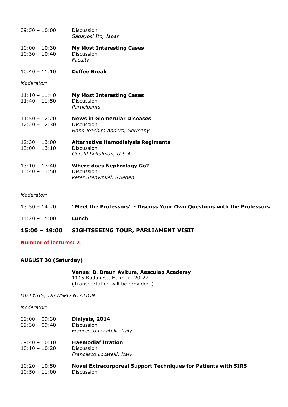| $09:50 - 10:00$                    | Discussion<br>Sadayosi Ito, Japan                                                  |
|------------------------------------|------------------------------------------------------------------------------------|
| $10:00 - 10:30$<br>$10:30 - 10:40$ | <b>My Most Interesting Cases</b><br><b>Discussion</b><br>Faculty                   |
| $10:40 - 11:10$                    | <b>Coffee Break</b>                                                                |
| Moderator:                         |                                                                                    |
| $11:10 - 11:40$<br>$11:40 - 11:50$ | <b>My Most Interesting Cases</b><br>Discussion<br>Participants                     |
| $11:50 - 12:20$<br>$12:20 - 12:30$ | <b>News in Glomerular Diseases</b><br>Discussion<br>Hans Joachim Anders, Germany   |
| $12:30 - 13:00$<br>$13:00 - 13:10$ | <b>Alternative Hemodialysis Regiments</b><br>Discussion<br>Gerald Schulman, U.S.A. |
| $13:10 - 13:40$<br>$13:40 - 13:50$ | <b>Where does Nephrology Go?</b><br>Discussion<br>Peter Stenvinkel, Sweden         |

#### *Moderator:*

| $13:50 - 14:20$ | "Meet the Professors" - Discuss Your Own Questions with the Professors |
|-----------------|------------------------------------------------------------------------|
| $14:20 - 15:00$ | Lunch                                                                  |

### **15:00 – 19:00 SIGHTSEEING TOUR, PARLIAMENT VISIT**

#### **Number of lectures: 7**

#### **AUGUST 30 (Saturday)**

**Venue: B. Braun Avitum, Aesculap Academy** 1115 Budapest, Halmi u. 20-22. (Transportation will be provided.)

*DIALYSIS, TRANSPLANTATION*

*Moderator:* 

- 09:00 09:30 **Dialysis, 2014** 09:30 – 09:40 Discussion *Francesco Locatelli, Italy*
- 09:40 10:10 **Haemodiafiltration**
- 10:10 10:20 Discussion

*Francesco Locatelli, Italy*

10:20 – 10:50 **Novel Extracorporeal Support Techniques for Patients with SIRS** 10:50 – 11:00 Discussion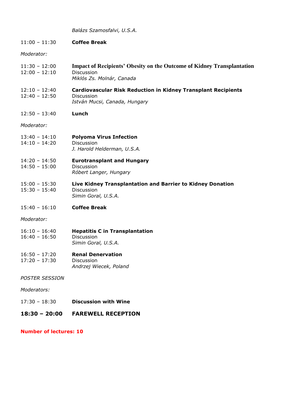*Balázs Szamosfalvi, U.S.A.*

| $11:00 - 11:30$                    | <b>Coffee Break</b>                             |
|------------------------------------|-------------------------------------------------|
| Moderator:                         |                                                 |
| $11:30 - 12:00$<br>$12:00 - 12:10$ | <b>Impact of Recipients' Obes</b><br>Discussion |

- **11:30 Figure 12:00 Figure 12:00 Figure Strangers** on the Outcome of Kidney Transplantation *Miklós Zs. Molnár, Canada*
- 12:10 12:40 **Cardiovascular Risk Reduction in Kidney Transplant Recipients** 12:40 – 12:50 Discussion *István Mucsi, Canada, Hungary*
- 12:50 13:40 **Lunch**

*Moderator:* 

13:40 – 14:10 **Polyoma Virus Infection** 14:10 – 14:20 Discussion

*J. Harold Helderman, U.S.A.*

- 14:20 14:50 **Eurotransplant and Hungary** 14:50 – 15:00 Discussion *Róbert Langer, Hungary*
- 15:00 15:30 **Live Kidney Transplantation and Barrier to Kidney Donation** 15:30 – 15:40 Discussion *Simin Goral, U.S.A.*
- 15:40 16:10 **Coffee Break**

*Moderator:* 

- 16:10 16:40 **Hepatitis C in Transplantation** 16:40 – 16:50 Discussion
- *Simin Goral, U.S.A.*
- 16:50 17:20 **Renal Denervation** 17:20 – 17:30 Discussion

*Andrzej Wiecek, Poland*

*POSTER SESSION* 

*Moderators:* 

17:30 – 18:30 **Discussion with Wine** 

# **18:30 – 20:00 FAREWELL RECEPTION**

**Number of lectures: 10**